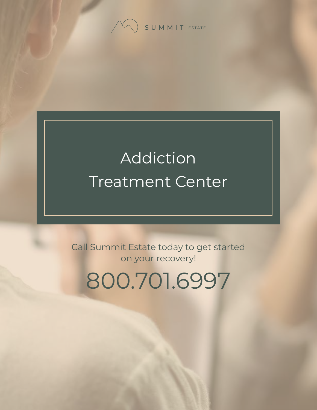

# Addiction Treatment Center

Call Summit Estate today to get started on your recovery!

800.701.6997

[Summit Estate Recovery Center](https://www.summitestate.com/) 1 [Addiction Treatment Center](https://www.summitestate.com/northern-california-drug-and-alcohol-rehab-programs/dual-diagnosis-treatment-program-ca/)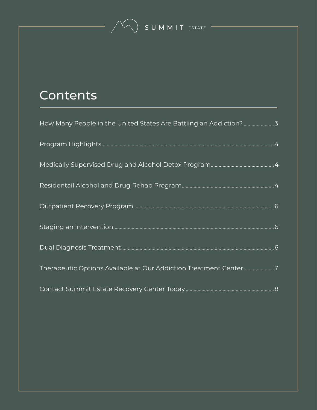#### **Contents**

| How Many People in the United States Are Battling an Addiction?3 |  |
|------------------------------------------------------------------|--|
|                                                                  |  |
|                                                                  |  |
|                                                                  |  |
|                                                                  |  |
|                                                                  |  |
|                                                                  |  |
| Therapeutic Options Available at Our Addiction Treatment Center7 |  |
|                                                                  |  |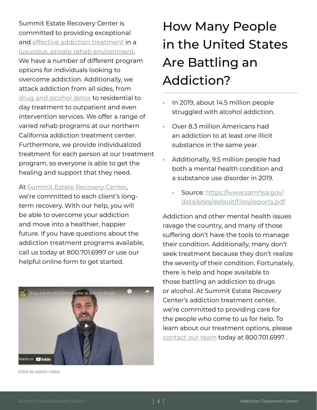<span id="page-2-0"></span>Summit Estate Recovery Center is committed to providing exceptional and [effective addiction treatment](https://www.summitestate.com/northern-california-addiction-treatment-center-programs/) in a [luxurious, private rehab environment.](https://www.summitestate.com/northern-california-addiction-treatment-center-programs/luxury-rehab-center-program-ca/) We have a number of different program options for individuals looking to overcome addiction. Additionally, we attack addiction from all sides, from [drug and alcohol detox](https://www.summitestate.com/northern-california-drug-and-alcohol-detox-programs/) to residential to day treatment to outpatient and even intervention services. We offer a range of varied rehab programs at our northern California addiction treatment center. Furthermore, we provide individualized treatment for each person at our treatment program, so everyone is able to get the healing and support that they need.

At [Summit Estate Recovery Center](https://www.summitestate.com/about-summit-estate-recovery-center/),

we're committed to each client's longterm recovery. With our help, you will be able to overcome your addiction and move into a healthier, happier future. If you have questions about the addiction treatment programs available, call us today at 800.701.6997 or use our helpful online form to get started.



Click to watch video

### How Many People in the United States Are Battling an Addiction?

- In 2019, about 14.5 million people struggled with alcohol addiction.
- Over 8.3 million Americans had an addiction to at least one illicit substance in the same year.
- Additionally, 9.5 million people had both a mental health condition and a substance use disorder in 2019.
	- Source: [https://www.samhsa.gov/](https://www.samhsa.gov/data/sites/default/files/reports/rpt29393/2019NSDUHFFRPDFWHTML/2019NSDUHFFR1PDFW090120.pdf) [data/sites/default/files/reports.pdf](https://www.samhsa.gov/data/sites/default/files/reports/rpt29393/2019NSDUHFFRPDFWHTML/2019NSDUHFFR1PDFW090120.pdf)

Addiction and other mental health issues ravage the country, and many of those suffering don't have the tools to manage their condition. Additionally, many don't seek treatment because they don't realize the severity of their condition. Fortunately, there is help and hope available to those battling an addiction to drugs or alcohol. At Summit Estate Recovery Center's addiction treatment center, we're committed to providing care for the people who come to us for help. To learn about our treatment options, please [contact our team](https://www.summitestate.com/contact-summit-estate/) today at 800.701.6997 .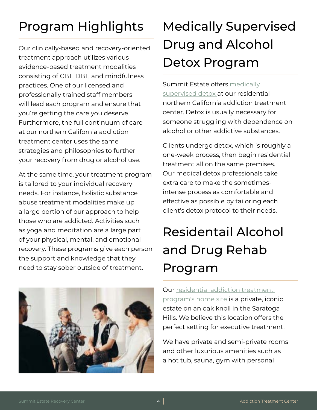#### <span id="page-3-0"></span>Program Highlights

Our clinically-based and recovery-oriented treatment approach utilizes various evidence-based treatment modalities consisting of CBT, DBT, and mindfulness practices. One of our licensed and professionally trained staff members will lead each program and ensure that you're getting the care you deserve. Furthermore, the full continuum of care at our northern California addiction treatment center uses the same strategies and philosophies to further your recovery from drug or alcohol use.

At the same time, your treatment program is tailored to your individual recovery needs. For instance, holistic substance abuse treatment modalities make up a large portion of our approach to help those who are addicted. Activities such as yoga and meditation are a large part of your physical, mental, and emotional recovery. These programs give each person the support and knowledge that they need to stay sober outside of treatment.



### Medically Supervised Drug and Alcohol Detox Program

Summit Estate offers medically [supervised detox a](https://www.summitestate.com/northern-california-drug-and-alcohol-detox-programs/)t our residential northern California addiction treatment center. Detox is usually necessary for someone struggling with dependence on alcohol or other addictive substances.

Clients undergo detox, which is roughly a one-week process, then begin residential treatment all on the same premises. Our medical detox professionals take extra care to make the sometimesintense process as comfortable and effective as possible by tailoring each client's detox protocol to their needs.

## Residentail Alcohol and Drug Rehab Program

Our [residential addiction treatment](https://www.summitestate.com/northern-california-drug-and-alcohol-rehab-programs/residential-treatment-program-ca/)  [program's home site](https://www.summitestate.com/northern-california-drug-and-alcohol-rehab-programs/residential-treatment-program-ca/) is a private, iconic estate on an oak knoll in the Saratoga Hills. We believe this location offers the perfect setting for executive treatment.

We have private and semi-private rooms and other luxurious amenities such as a hot tub, sauna, gym with personal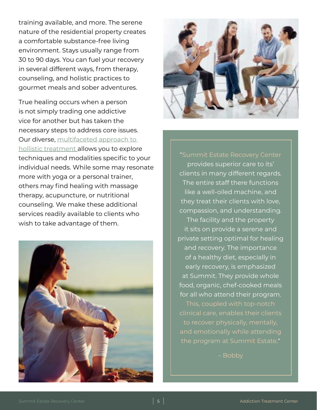training available, and more. The serene nature of the residential property creates a comfortable substance-free living environment. Stays usually range from 30 to 90 days. You can fuel your recovery in several different ways, from therapy, counseling, and holistic practices to gourmet meals and sober adventures.

True healing occurs when a person is not simply trading one addictive vice for another but has taken the necessary steps to address core issues. Our diverse, [multifaceted approach to](https://www.summitestate.com/northern-california-addiction-treatment-center-programs/holistic-addiction-treatment-center-ca/)  [hollistic treatment a](https://www.summitestate.com/northern-california-addiction-treatment-center-programs/holistic-addiction-treatment-center-ca/)llows you to explore techniques and modalities specific to your individual needs. While some may resonate more with yoga or a personal trainer, others may find healing with massage therapy, acupuncture, or nutritional counseling. We make these additional services readily available to clients who wish to take advantage of them.





provides superior care to its' clients in many different regards. The entire staff there functions like a well-oiled machine, and they treat their clients with love, compassion, and understanding. The facility and the property it sits on provide a serene and private setting optimal for healing and recovery. The importance of a healthy diet, especially in early recovery, is emphasized at Summit. They provide whole food, organic, chef-cooked meals for all who attend their program.

the program at Summit Estate."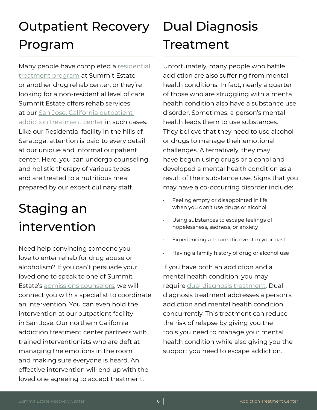#### <span id="page-5-0"></span>Outpatient Recovery Program

Many people have completed a [residential](https://www.summitestate.com/northern-california-drug-and-alcohol-rehab-programs/residential-treatment-program-ca/)  [treatment program](https://www.summitestate.com/northern-california-drug-and-alcohol-rehab-programs/residential-treatment-program-ca/) at Summit Estate or another drug rehab center, or they're looking for a non-residential level of care. Summit Estate offers rehab services at our San Jose, California outpatient [addiction treatment center](https://www.summitestate.com/northern-california-drug-and-alcohol-rehab-programs/iop-intensive-outpatient-program-ca/) in such cases. Like our Residential facility in the hills of Saratoga, attention is paid to every detail at our unique and informal outpatient center. Here, you can undergo counseling and holistic therapy of various types and are treated to a nutritious meal prepared by our expert culinary staff.

#### Staging an intervention

Need help convincing someone you love to enter rehab for drug abuse or alcoholism? If you can't persuade your loved one to speak to one of Summit Estate's [admissions counselors,](https://www.summitestate.com/northern-california-rehab-admissions-process/) we will connect you with a specialist to coordinate an intervention. You can even hold the intervention at our outpatient facility in San Jose. Our northern California addiction treatment center partners with trained interventionists who are deft at managing the emotions in the room and making sure everyone is heard. An effective intervention will end up with the loved one agreeing to accept treatment.

#### Dual Diagnosis Treatment

Unfortunately, many people who battle addiction are also suffering from mental health conditions. In fact, nearly a quarter of those who are struggling with a mental health condition also have a substance use disorder. Sometimes, a person's mental health leads them to use substances. They believe that they need to use alcohol or drugs to manage their emotional challenges. Alternatively, they may have begun using drugs or alcohol and developed a mental health condition as a result of their substance use. Signs that you may have a co-occurring disorder include:

- Feeling empty or disappointed in life when you don't use drugs or alcohol
- Using substances to escape feelings of hopelessness, sadness, or anxiety
- Experiencing a traumatic event in your past
- Having a family history of drug or alcohol use

If you have both an addiction and a mental health condition, you may require [dual diagnosis treatment](https://www.summitestate.com/northern-california-drug-and-alcohol-rehab-programs/dual-diagnosis-treatment-program-ca/). Dual diagnosis treatment addresses a person's addiction and mental health condition concurrently. This treatment can reduce the risk of relapse by giving you the tools you need to manage your mental health condition while also giving you the support you need to escape addiction.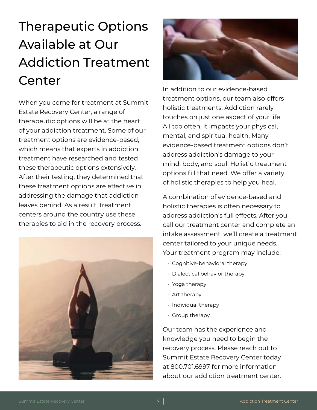### <span id="page-6-0"></span>Therapeutic Options Available at Our Addiction Treatment Center

When you come for treatment at Summit Estate Recovery Center, a range of therapeutic options will be at the heart of your addiction treatment. Some of our treatment options are evidence-based, which means that experts in addiction treatment have researched and tested these therapeutic options extensively. After their testing, they determined that these treatment options are effective in addressing the damage that addiction leaves behind. As a result, treatment centers around the country use these therapies to aid in the recovery process.





In addition to our evidence-based treatment options, our team also offers holistic treatments. Addiction rarely touches on just one aspect of your life. All too often, it impacts your physical, mental, and spiritual health. Many evidence-based treatment options don't address addiction's damage to your mind, body, and soul. Holistic treatment options fill that need. We offer a variety of holistic therapies to help you heal.

A combination of evidence-based and holistic therapies is often necessary to address addiction's full effects. After you call our treatment center and complete an intake assessment, we'll create a treatment center tailored to your unique needs. Your treatment program may include:

- Cognitive-behavioral therapy
- Dialectical behavior therapy
- Yoga therapy
- Art therapy
- Individual therapy
- Group therapy

Our team has the experience and knowledge you need to begin the recovery process. Please reach out to Summit Estate Recovery Center today at 800.701.6997 for more information about our addiction treatment center.